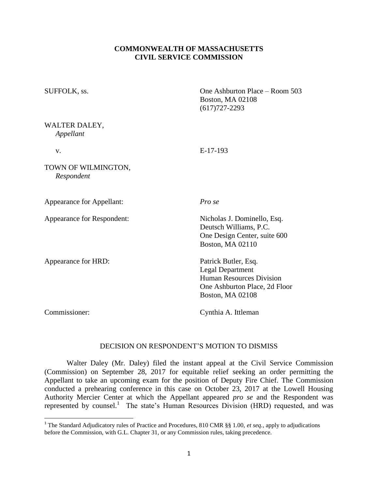# **COMMONWEALTH OF MASSACHUSETTS CIVIL SERVICE COMMISSION**

| SUFFOLK, ss.                      | One Ashburton Place – Room 503<br><b>Boston, MA 02108</b><br>$(617)727 - 2293$                                                          |
|-----------------------------------|-----------------------------------------------------------------------------------------------------------------------------------------|
| WALTER DALEY,<br>Appellant        |                                                                                                                                         |
| V.                                | $E-17-193$                                                                                                                              |
| TOWN OF WILMINGTON,<br>Respondent |                                                                                                                                         |
| Appearance for Appellant:         | Pro se                                                                                                                                  |
| Appearance for Respondent:        | Nicholas J. Dominello, Esq.<br>Deutsch Williams, P.C.<br>One Design Center, suite 600<br>Boston, MA 02110                               |
| Appearance for HRD:               | Patrick Butler, Esq.<br><b>Legal Department</b><br><b>Human Resources Division</b><br>One Ashburton Place, 2d Floor<br>Boston, MA 02108 |
| Commissioner:                     | Cynthia A. Ittleman                                                                                                                     |

## DECISION ON RESPONDENT'S MOTION TO DISMISS

Walter Daley (Mr. Daley) filed the instant appeal at the Civil Service Commission (Commission) on September 28, 2017 for equitable relief seeking an order permitting the Appellant to take an upcoming exam for the position of Deputy Fire Chief. The Commission conducted a prehearing conference in this case on October 23, 2017 at the Lowell Housing Authority Mercier Center at which the Appellant appeared *pro se* and the Respondent was represented by counsel.<sup>1</sup> The state's Human Resources Division (HRD) requested, and was

 $\overline{\phantom{a}}$ 

<sup>&</sup>lt;sup>1</sup> The Standard Adjudicatory rules of Practice and Procedures, 810 CMR §§ 1.00, *et seq.*, apply to adjudications before the Commission, with G.L. Chapter 31, or any Commission rules, taking precedence.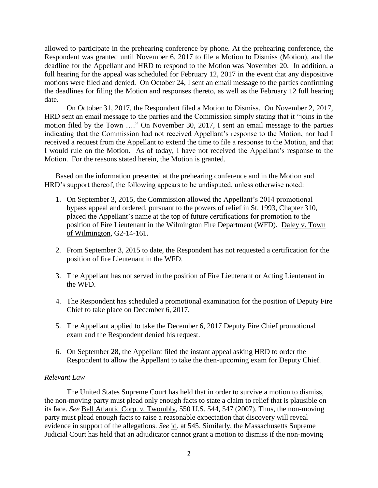allowed to participate in the prehearing conference by phone. At the prehearing conference, the Respondent was granted until November 6, 2017 to file a Motion to Dismiss (Motion), and the deadline for the Appellant and HRD to respond to the Motion was November 20. In addition, a full hearing for the appeal was scheduled for February 12, 2017 in the event that any dispositive motions were filed and denied. On October 24, I sent an email message to the parties confirming the deadlines for filing the Motion and responses thereto, as well as the February 12 full hearing date.

On October 31, 2017, the Respondent filed a Motion to Dismiss. On November 2, 2017, HRD sent an email message to the parties and the Commission simply stating that it "joins in the motion filed by the Town …." On November 30, 2017, I sent an email message to the parties indicating that the Commission had not received Appellant's response to the Motion, nor had I received a request from the Appellant to extend the time to file a response to the Motion, and that I would rule on the Motion. As of today, I have not received the Appellant's response to the Motion. For the reasons stated herein, the Motion is granted.

Based on the information presented at the prehearing conference and in the Motion and HRD's support thereof, the following appears to be undisputed, unless otherwise noted:

- 1. On September 3, 2015, the Commission allowed the Appellant's 2014 promotional bypass appeal and ordered, pursuant to the powers of relief in St. 1993, Chapter 310, placed the Appellant's name at the top of future certifications for promotion to the position of Fire Lieutenant in the Wilmington Fire Department (WFD). Daley v. Town of Wilmington, G2-14-161.
- 2. From September 3, 2015 to date, the Respondent has not requested a certification for the position of fire Lieutenant in the WFD.
- 3. The Appellant has not served in the position of Fire Lieutenant or Acting Lieutenant in the WFD.
- 4. The Respondent has scheduled a promotional examination for the position of Deputy Fire Chief to take place on December 6, 2017.
- 5. The Appellant applied to take the December 6, 2017 Deputy Fire Chief promotional exam and the Respondent denied his request.
- 6. On September 28, the Appellant filed the instant appeal asking HRD to order the Respondent to allow the Appellant to take the then-upcoming exam for Deputy Chief.

## *Relevant Law*

The United States Supreme Court has held that in order to survive a motion to dismiss, the non-moving party must plead only enough facts to state a claim to relief that is plausible on its face. *See* Bell Atlantic Corp. *v.* Twombly*,* 550 U.S. 544, 547 (2007). Thus, the non-moving party must plead enough facts to raise a reasonable expectation that discovery will reveal evidence in support of the allegations. *See* id*.* at 545. Similarly, the Massachusetts Supreme Judicial Court has held that an adjudicator cannot grant a motion to dismiss if the non-moving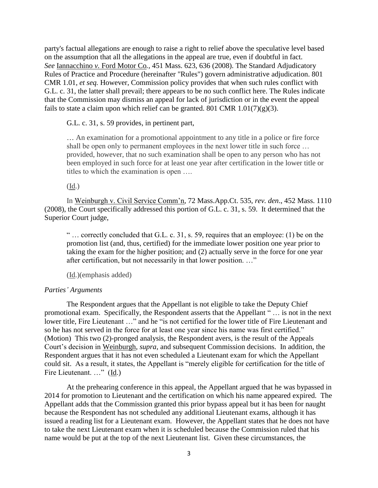party's factual allegations are enough to raise a right to relief above the speculative level based on the assumption that all the allegations in the appeal are true, even if doubtful in fact. *See* Iannacchino *v.* Ford Motor Co*.,* 451 Mass. 623, 636 (2008). The Standard Adjudicatory Rules of Practice and Procedure (hereinafter "Rules") govern administrative adjudication. 801 CMR 1.01, *et seq.* However, Commission policy provides that when such rules conflict with G.L. c. 31, the latter shall prevail; there appears to be no such conflict here. The Rules indicate that the Commission may dismiss an appeal for lack of jurisdiction or in the event the appeal fails to state a claim upon which relief can be granted. 801 CMR  $1.01(7)(g)(3)$ .

### G.L. c. 31, s. 59 provides, in pertinent part,

… An examination for a promotional appointment to any title in a police or fire force shall be open only to permanent employees in the next lower title in such force … provided, however, that no such examination shall be open to any person who has not been employed in such force for at least one year after certification in the lower title or titles to which the examination is open ….

(Id.)

In Weinburgh v. Civil Service Comm'n, 72 Mass.App.Ct. 535, *rev. den*., 452 Mass. 1110 (2008), the Court specifically addressed this portion of G.L. c. 31, s. 59. It determined that the Superior Court judge,

" … correctly concluded that G.L. c. 31, s. 59, requires that an employee: (1) be on the promotion list (and, thus, certified) for the immediate lower position one year prior to taking the exam for the higher position; and (2) actually serve in the force for one year after certification, but not necessarily in that lower position. …"

(Id.)(emphasis added)

#### *Parties' Arguments*

The Respondent argues that the Appellant is not eligible to take the Deputy Chief promotional exam. Specifically, the Respondent asserts that the Appellant " … is not in the next lower title, Fire Lieutenant …" and he "is not certified for the lower title of Fire Lieutenant and so he has not served in the force for at least one year since his name was first certified." (Motion) This two (2)-pronged analysis, the Respondent avers, is the result of the Appeals Court's decision in Weinburgh, *supra*, and subsequent Commission decisions. In addition, the Respondent argues that it has not even scheduled a Lieutenant exam for which the Appellant could sit. As a result, it states, the Appellant is "merely eligible for certification for the title of Fire Lieutenant. ..." (Id.)

At the prehearing conference in this appeal, the Appellant argued that he was bypassed in 2014 for promotion to Lieutenant and the certification on which his name appeared expired. The Appellant adds that the Commission granted this prior bypass appeal but it has been for naught because the Respondent has not scheduled any additional Lieutenant exams, although it has issued a reading list for a Lieutenant exam. However, the Appellant states that he does not have to take the next Lieutenant exam when it is scheduled because the Commission ruled that his name would be put at the top of the next Lieutenant list. Given these circumstances, the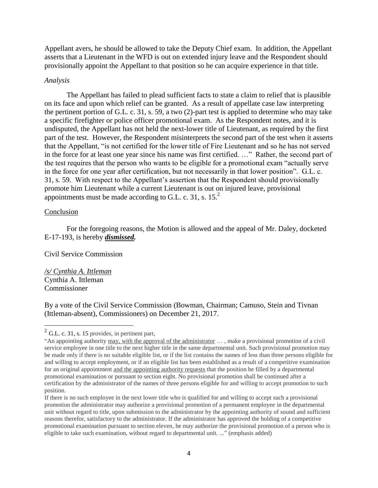Appellant avers, he should be allowed to take the Deputy Chief exam. In addition, the Appellant asserts that a Lieutenant in the WFD is out on extended injury leave and the Respondent should provisionally appoint the Appellant to that position so he can acquire experience in that title.

#### *Analysis*

The Appellant has failed to plead sufficient facts to state a claim to relief that is plausible on its face and upon which relief can be granted. As a result of appellate case law interpreting the pertinent portion of G.L. c. 31, s. 59, a two (2)-part test is applied to determine who may take a specific firefighter or police officer promotional exam. As the Respondent notes, and it is undisputed, the Appellant has not held the next-lower title of Lieutenant, as required by the first part of the test. However, the Respondent misinterprets the second part of the test when it asserts that the Appellant, "is not certified for the lower title of Fire Lieutenant and so he has not served in the force for at least one year since his name was first certified. …" Rather, the second part of the test requires that the person who wants to be eligible for a promotional exam "actually serve in the force for one year after certification, but not necessarily in that lower position". G.L. c. 31, s. 59. With respect to the Appellant's assertion that the Respondent should provisionally promote him Lieutenant while a current Lieutenant is out on injured leave, provisional appointments must be made according to G.L. c. 31, s.  $15<sup>2</sup>$ .

### Conclusion

 $\overline{\phantom{a}}$ 

For the foregoing reasons, the Motion is allowed and the appeal of Mr. Daley, docketed E-17-193, is hereby *dismissed.* 

Civil Service Commission

*/s/ Cynthia A. Ittleman* Cynthia A. Ittleman Commissioner

By a vote of the Civil Service Commission (Bowman, Chairman; Camuso, Stein and Tivnan (Ittleman-absent), Commissioners) on December 21, 2017.

 $^{2}$  G.L. c. 31, s. 15 provides, in pertinent part,

<sup>&</sup>quot;An appointing authority may, with the approval of the administrator … , make a provisional promotion of a civil service employee in one title to the next higher title in the same departmental unit. Such provisional promotion may be made only if there is no suitable eligible list, or if the list contains the names of less than three persons eligible for and willing to accept employment, or if an eligible list has been established as a result of a competitive examination for an original appointment and the appointing authority requests that the position be filled by a departmental promotional examination or pursuant to section eight. No provisional promotion shall be continued after a certification by the administrator of the names of three persons eligible for and willing to accept promotion to such position.

If there is no such employee in the next lower title who is qualified for and willing to accept such a provisional promotion the administrator may authorize a provisional promotion of a permanent employee in the departmental unit without regard to title, upon submission to the administrator by the appointing authority of sound and sufficient reasons therefor, satisfactory to the administrator. If the administrator has approved the holding of a competitive promotional examination pursuant to section eleven, he may authorize the provisional promotion of a person who is eligible to take such examination, without regard to departmental unit. ..." (emphasis added)